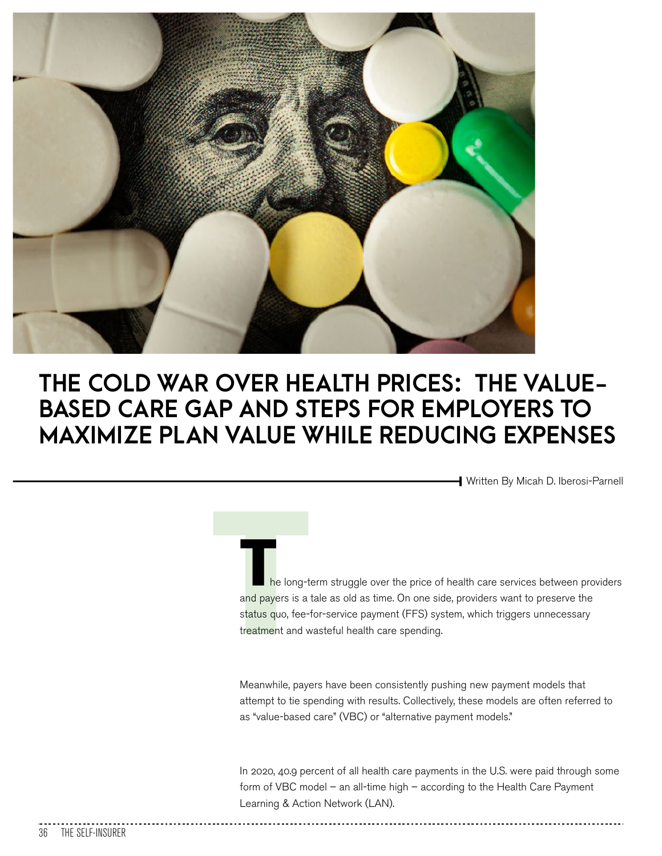

## **THE COLD WAR OVER HEALTH PRICES: THE VALUE-BASED CARE GAP AND STEPS FOR EMPLOYERS TO MAXIMIZE PLAN VALUE WHILE REDUCING EXPENSES**

Written By Micah D. Iberosi-Parnell

the long-t and payers is a status quo, fee-The long-term struggle over the price of health care services between providers and payers is a tale as old as time. On one side, providers want to preserve the status quo, fee-for-service payment (FFS) system, which triggers unnecessary treatment and wasteful health care spending.

Meanwhile, payers have been consistently pushing new payment models that attempt to tie spending with results. Collectively, these models are often referred to as "value-based care" (VBC) or "alternative payment models."

In 2020, 40.9 percent of all health care payments in the U.S. were paid through some form of VBC model – an all-time high – according to the Health Care Payment Learning & Action Network (LAN).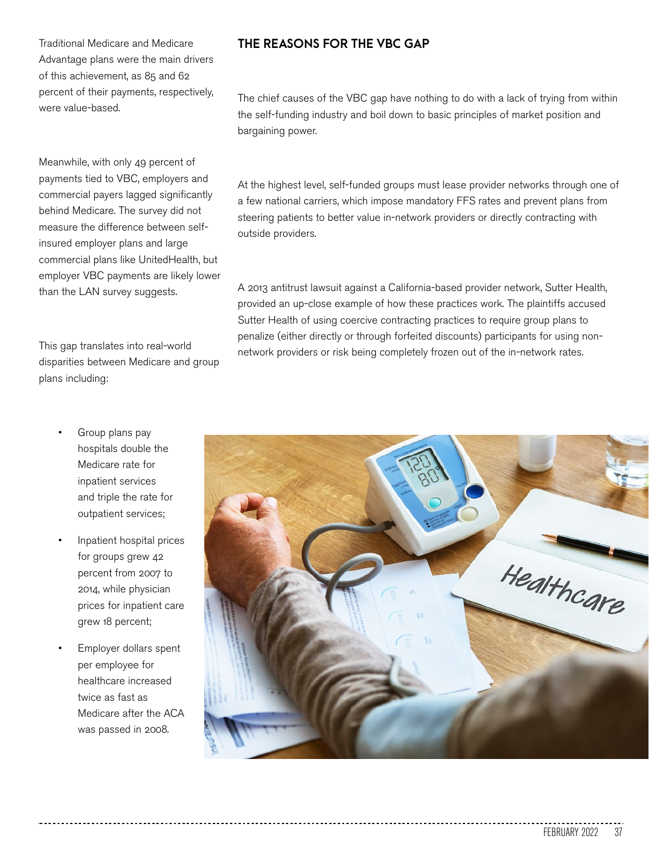Meanwhile, with only 49 percent of payments tied to VBC, employers and commercial payers lagged significantly behind Medicare. The survey did not measure the difference between selfinsured employer plans and large commercial plans like UnitedHealth, but employer VBC payments are likely lower than the LAN survey suggests.

This gap translates into real-world disparities between Medicare and group plans including:

- Group plans pay hospitals double the Medicare rate for inpatient services and triple the rate for outpatient services;
- Inpatient hospital prices for groups grew 42 percent from 2007 to 2014, while physician prices for inpatient care grew 18 percent;
- Employer dollars spent per employee for healthcare increased twice as fast as Medicare after the ACA was passed in 2008.

## **THE REASONS FOR THE VBC GAP**

The chief causes of the VBC gap have nothing to do with a lack of trying from within the self-funding industry and boil down to basic principles of market position and bargaining power.

At the highest level, self-funded groups must lease provider networks through one of a few national carriers, which impose mandatory FFS rates and prevent plans from steering patients to better value in-network providers or directly contracting with outside providers.

A 2013 antitrust lawsuit against a California-based provider network, Sutter Health, provided an up-close example of how these practices work. The plaintiffs accused Sutter Health of using coercive contracting practices to require group plans to penalize (either directly or through forfeited discounts) participants for using nonnetwork providers or risk being completely frozen out of the in-network rates.

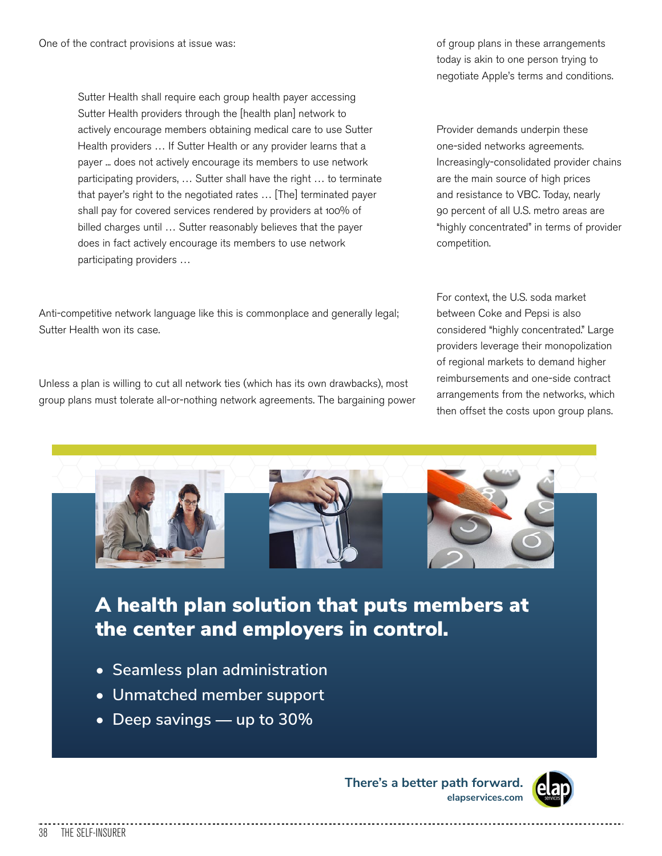Sutter Health shall require each group health payer accessing Sutter Health providers through the [health plan] network to actively encourage members obtaining medical care to use Sutter Health providers … If Sutter Health or any provider learns that a payer ... does not actively encourage its members to use network participating providers, … Sutter shall have the right … to terminate that payer's right to the negotiated rates … [The] terminated payer shall pay for covered services rendered by providers at 100% of billed charges until … Sutter reasonably believes that the payer does in fact actively encourage its members to use network participating providers …

Anti-competitive network language like this is commonplace and generally legal; Sutter Health won its case.

Unless a plan is willing to cut all network ties (which has its own drawbacks), most group plans must tolerate all-or-nothing network agreements. The bargaining power of group plans in these arrangements today is akin to one person trying to negotiate Apple's terms and conditions.

Provider demands underpin these one-sided networks agreements. Increasingly-consolidated provider chains are the main source of high prices and resistance to VBC. Today, nearly 90 percent of all U.S. metro areas are "highly concentrated" in terms of provider competition.

For context, the U.S. soda market between Coke and Pepsi is also considered "highly concentrated." Large providers leverage their monopolization of regional markets to demand higher reimbursements and one-side contract arrangements from the networks, which then offset the costs upon group plans.



## A health plan solution that puts members at the center and employers in control.

- **Seamless plan administration**
- **Unmatched member support**
- **Deep savings** — **up to 30%**

**There's a better path forward. elapservices.com**

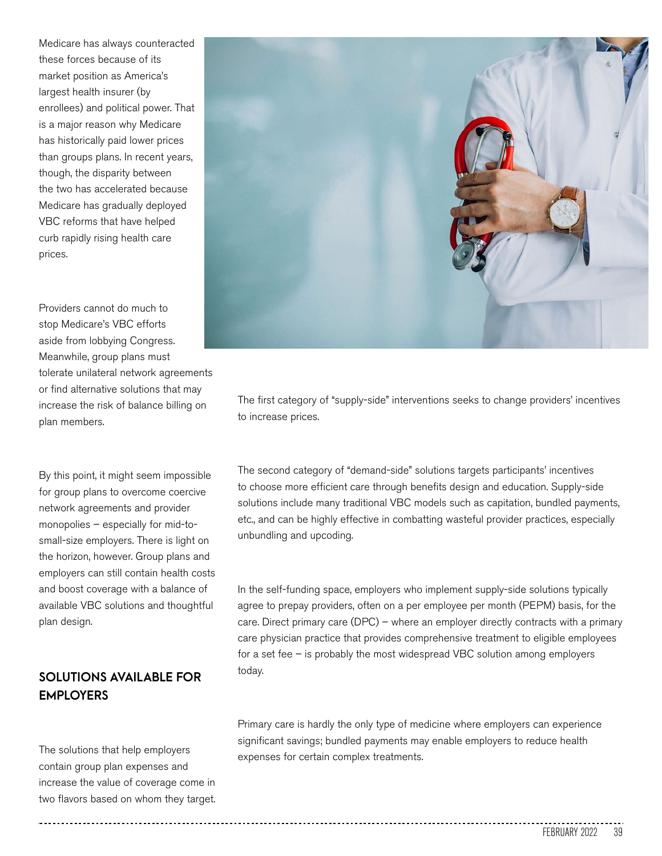Medicare has always counteracted these forces because of its market position as America's largest health insurer (by enrollees) and political power. That is a major reason why Medicare has historically paid lower prices than groups plans. In recent years, though, the disparity between the two has accelerated because Medicare has gradually deployed VBC reforms that have helped curb rapidly rising health care prices.

Providers cannot do much to stop Medicare's VBC efforts aside from lobbying Congress. Meanwhile, group plans must tolerate unilateral network agreements or find alternative solutions that may increase the risk of balance billing on plan members.

By this point, it might seem impossible for group plans to overcome coercive network agreements and provider monopolies – especially for mid-tosmall-size employers. There is light on the horizon, however. Group plans and employers can still contain health costs and boost coverage with a balance of available VBC solutions and thoughtful plan design.

## **SOLUTIONS AVAILABLE FOR EMPLOYERS**

The solutions that help employers contain group plan expenses and increase the value of coverage come in two flavors based on whom they target.



The first category of "supply-side" interventions seeks to change providers' incentives to increase prices.

The second category of "demand-side" solutions targets participants' incentives to choose more efficient care through benefits design and education. Supply-side solutions include many traditional VBC models such as capitation, bundled payments, etc., and can be highly effective in combatting wasteful provider practices, especially unbundling and upcoding.

In the self-funding space, employers who implement supply-side solutions typically agree to prepay providers, often on a per employee per month (PEPM) basis, for the care. Direct primary care (DPC) – where an employer directly contracts with a primary care physician practice that provides comprehensive treatment to eligible employees for a set fee – is probably the most widespread VBC solution among employers today.

Primary care is hardly the only type of medicine where employers can experience significant savings; bundled payments may enable employers to reduce health expenses for certain complex treatments.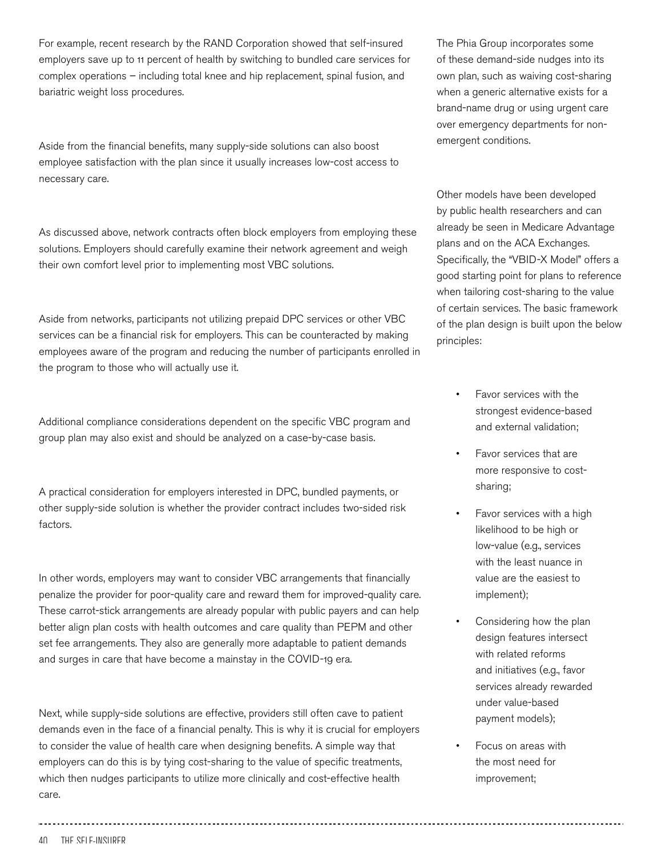For example, recent research by the RAND Corporation showed that self-insured employers save up to 11 percent of health by switching to bundled care services for complex operations – including total knee and hip replacement, spinal fusion, and bariatric weight loss procedures.

Aside from the financial benefits, many supply-side solutions can also boost employee satisfaction with the plan since it usually increases low-cost access to necessary care.

As discussed above, network contracts often block employers from employing these solutions. Employers should carefully examine their network agreement and weigh their own comfort level prior to implementing most VBC solutions.

Aside from networks, participants not utilizing prepaid DPC services or other VBC services can be a financial risk for employers. This can be counteracted by making employees aware of the program and reducing the number of participants enrolled in the program to those who will actually use it.

Additional compliance considerations dependent on the specific VBC program and group plan may also exist and should be analyzed on a case-by-case basis.

A practical consideration for employers interested in DPC, bundled payments, or other supply-side solution is whether the provider contract includes two-sided risk factors.

In other words, employers may want to consider VBC arrangements that financially penalize the provider for poor-quality care and reward them for improved-quality care. These carrot-stick arrangements are already popular with public payers and can help better align plan costs with health outcomes and care quality than PEPM and other set fee arrangements. They also are generally more adaptable to patient demands and surges in care that have become a mainstay in the COVID-19 era.

Next, while supply-side solutions are effective, providers still often cave to patient demands even in the face of a financial penalty. This is why it is crucial for employers to consider the value of health care when designing benefits. A simple way that employers can do this is by tying cost-sharing to the value of specific treatments, which then nudges participants to utilize more clinically and cost-effective health care.

The Phia Group incorporates some of these demand-side nudges into its own plan, such as waiving cost-sharing when a generic alternative exists for a brand-name drug or using urgent care over emergency departments for nonemergent conditions.

Other models have been developed by public health researchers and can already be seen in Medicare Advantage plans and on the ACA Exchanges. Specifically, the "VBID-X Model" offers a good starting point for plans to reference when tailoring cost-sharing to the value of certain services. The basic framework of the plan design is built upon the below principles:

- Favor services with the strongest evidence-based and external validation;
- Favor services that are more responsive to costsharing;
- Favor services with a high likelihood to be high or low-value (e.g., services with the least nuance in value are the easiest to implement);
- Considering how the plan design features intersect with related reforms and initiatives (e.g., favor services already rewarded under value-based payment models);
- Focus on areas with the most need for improvement;